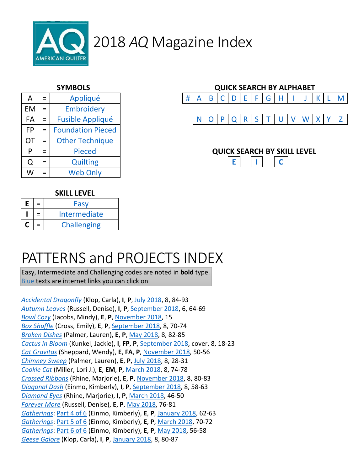

| $=$ | Appliqué                 | #<br>B<br>E<br>D<br>A |  |  |  |  |  |  |  | G | H                         |
|-----|--------------------------|-----------------------|--|--|--|--|--|--|--|---|---------------------------|
| $=$ | Embroidery               |                       |  |  |  |  |  |  |  |   |                           |
| $=$ | <b>Fusible Appliqué</b>  | R<br>N                |  |  |  |  |  |  |  |   |                           |
| $=$ | <b>Foundation Pieced</b> |                       |  |  |  |  |  |  |  |   |                           |
| $=$ | <b>Other Technique</b>   |                       |  |  |  |  |  |  |  |   |                           |
| $=$ | <b>Pieced</b>            |                       |  |  |  |  |  |  |  |   |                           |
| $=$ | <b>Quilting</b>          |                       |  |  |  |  |  |  |  |   | C                         |
| $=$ | <b>Web Only</b>          |                       |  |  |  |  |  |  |  |   |                           |
|     |                          |                       |  |  |  |  |  |  |  |   | <b>QUICK SEARCH BY SK</b> |



#### **SKILL LEVEL**

| E | Easy               |  |  |
|---|--------------------|--|--|
|   | Intermediate       |  |  |
|   | <b>Challenging</b> |  |  |

## PATTERNS and PROJECTS INDEX

Easy, Intermediate and Challenging codes are noted in **bold** type. Blue texts are internet links you can click on

*Accidental Dragonfly* (Klop, Carla), **I**, **P**, July 2018, 8, 84-93 *Autumn Leaves* (Russell, Denise), **I**, **P**, September 2018, 6, 64-69 *Bowl Cozy* (Jacobs, Mindy), **E**, **P**, November 2018, 15 *Box Shuffle* (Cross, Emily), **E**, **P**, September 2018, 8, 70-74 *Broken Dishes* (Palmer, Lauren), **E**, **P**, May 2018, 8, 82-85 *Cactus in Bloom* (Kunkel, Jackie), **I**, **FP**, **P**, September 2018, cover, 8, 18-23 *Cat Gravitas* (Sheppard, Wendy), **E**, **FA**, **P**, November 2018, 50-56 *Chimney Sweep* (Palmer, Lauren), **E**, **P**, July 2018, 8, 28-31 *Cookie Cat* (Miller, Lori J.), **E**, **EM**, **P**, March 2018, 8, 74-78 *Crossed Ribbons* (Rhine, Marjorie), **E**, **P**, November 2018, 8, 80-83 *Diagonal Dash* (Einmo, Kimberly), **I**, **P**, September 2018, 8, 58-63 *Diamond Eyes* (Rhine, Marjorie), **I**, **P**, March 2018, 46-50 *Forever More* (Russell, Denise), **E**, **P**, May 2018, 76-81 *Gatherings*: Part 4 of 6 (Einmo, Kimberly), **E**, **P**, January 2018, 62-63 *Gatherings*: Part 5 of 6 (Einmo, Kimberly), **E**, **P**, March 2018, 70-72 *Gatherings*: Part 6 of 6 (Einmo, Kimberly), **E**, **P**, May 2018, 56-58 *Geese Galore* (Klop, Carla), **I**, **P**, January 2018, 8, 80-87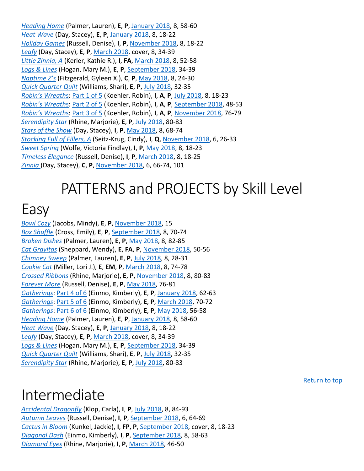*Heading Home* (Palmer, Lauren), **E**, **P**, January 2018, 8, 58-60 *Heat Wave* (Day, Stacey), **E**, **P**, January 2018, 8, 18-22 *Holiday Games* (Russell, Denise), **I**, **P**, November 2018, 8, 18-22 *Leafy* (Day, Stacey), **E**, **P**, March 2018, cover, 8, 34-39 *Little Zinnia, A* (Kerler, Kathie R.), **I**, **FA**, March 2018, 8, 52-58 *Logs & Lines* (Hogan, Mary M.), **E**, **P**, September 2018, 34-39 *Naptime Z's* (Fitzgerald, Gyleen X.), **C**, **P**, May 2018, 8, 24-30 *Quick Quarter Quilt* (Williams, Shari), **E**, **P**, July 2018, 32-35 *Robin's Wreath*s: Part 1 of 5 (Koehler, Robin), **I**, **A**, **P**, July 2018, 8, 18-23 *Robin's Wreath*s: Part 2 of 5 (Koehler, Robin), **I**, **A**, **P**, September 2018, 48-53 *Robin's Wreath*s: Part 3 of 5 (Koehler, Robin), **I**, **A**, **P**, November 2018, 76-79 *Serendipity Star* (Rhine, Marjorie), **E**, **P**, July 2018, 80-83 *Stars of the Show* (Day, Stacey), **I**, **P**, May 2018, 8, 68-74 *Stocking Full of Fillers, A* (Seitz-Krug, Cindy), **I**, **Q**, November 2018, 6, 26-33 *Sweet Spring* (Wolfe, Victoria Findlay), **I**, **P**, May 2018, 8, 18-23 *Timeless Elegance* (Russell, Denise), **I**, **P**, March 2018, 8, 18-25 *Zinnia* (Day, Stacey), **C**, **P**, November 2018, 6, 66-74, 101

## PATTERNS and PROJECTS by Skill Level

#### Easy

*Bowl Cozy* (Jacobs, Mindy), **E**, **P**, November 2018, 15 *Box Shuffle* (Cross, Emily), **E**, **P**, September 2018, 8, 70-74 *Broken Dishes* (Palmer, Lauren), **E**, **P**, May 2018, 8, 82-85 *Cat Gravitas* (Sheppard, Wendy), **E**, **FA**, **P**, November 2018, 50-56 *Chimney Sweep* (Palmer, Lauren), **E**, **P**, July 2018, 8, 28-31 *Cookie Cat* (Miller, Lori J.), **E**, **EM**, **P**, March 2018, 8, 74-78 *Crossed Ribbons* (Rhine, Marjorie), **E**, **P**, November 2018, 8, 80-83 *Forever More* (Russell, Denise), **E**, **P**, May 2018, 76-81 *Gatherings*: Part 4 of 6 (Einmo, Kimberly), **E**, **P**, January 2018, 62-63 *Gatherings*: Part 5 of 6 (Einmo, Kimberly), **E**, **P**, March 2018, 70-72 *Gatherings*: Part 6 of 6 (Einmo, Kimberly), **E**, **P**, May 2018, 56-58 *Heading Home* (Palmer, Lauren), **E**, **P**, January 2018, 8, 58-60 *Heat Wave* (Day, Stacey), **E**, **P**, January 2018, 8, 18-22 *Leafy* (Day, Stacey), **E**, **P**, March 2018, cover, 8, 34-39 *Logs & Lines* (Hogan, Mary M.), **E**, **P**, September 2018, 34-39 *Quick Quarter Quilt* (Williams, Shari), **E**, **P**, July 2018, 32-35 *Serendipity Star* (Rhine, Marjorie), **E**, **P**, July 2018, 80-83

## Intermediate

*Accidental Dragonfly* (Klop, Carla), **I**, **P**, July 2018, 8, 84-93 *Autumn Leaves* (Russell, Denise), **I**, **P**, September 2018, 6, 64-69 *Cactus in Bloom* (Kunkel, Jackie), **I**, **FP**, **P**, September 2018, cover, 8, 18-23 *Diagonal Dash* (Einmo, Kimberly), **I**, **P**, September 2018, 8, 58-63 *Diamond Eyes* (Rhine, Marjorie), **I**, **P**, March 2018, 46-50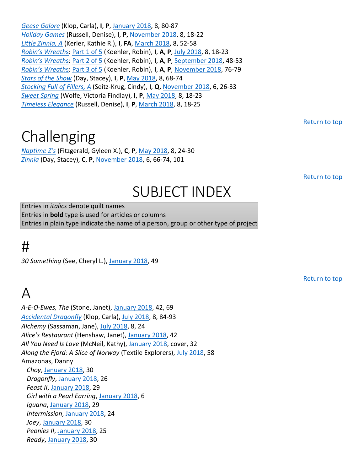*Geese Galore* (Klop, Carla), **I**, **P**, January 2018, 8, 80-87 *Holiday Games* (Russell, Denise), **I**, **P**, November 2018, 8, 18-22 *Little Zinnia, A* (Kerler, Kathie R.), **I**, **FA**, March 2018, 8, 52-58 *Robin's Wreath*s: Part 1 of 5 (Koehler, Robin), **I**, **A**, **P**, July 2018, 8, 18-23 *Robin's Wreath*s: Part 2 of 5 (Koehler, Robin), **I**, **A**, **P**, September 2018, 48-53 *Robin's Wreath*s: Part 3 of 5 (Koehler, Robin), **I**, **A**, **P**, November 2018, 76-79 *Stars of the Show* (Day, Stacey), **I**, **P**, May 2018, 8, 68-74 *Stocking Full of Fillers, A* (Seitz-Krug, Cindy), **I**, **Q**, November 2018, 6, 26-33 *Sweet Spring* (Wolfe, Victoria Findlay), **I**, **P**, May 2018, 8, 18-23 *Timeless Elegance* (Russell, Denise), **I**, **P**, March 2018, 8, 18-25

Return to top

## **Challenging**

*Naptime Z's* (Fitzgerald, Gyleen X.), **C**, **P**, May 2018, 8, 24-30 *Zinnia* (Day, Stacey), **C**, **P**, November 2018, 6, 66-74, 101

Return to top

Return to top

# SUBJECT INDEX

Entries in *italics* denote quilt names Entries in **bold** type is used for articles or columns Entries in plain type indicate the name of a person, group or other type of project

#### #

*30 Something* (See, Cheryl L.), January 2018, 49

## $\Delta$

*A-E-O-Ewes, The* (Stone, Janet), January 2018, 42, 69 *Accidental Dragonfly* (Klop, Carla), July 2018, 8, 84-93 *Alchemy* (Sassaman, Jane), July 2018, 8, 24 *Alice's Restaurant* (Henshaw, Janet), January 2018, 42 *All You Need Is Love* (McNeil, Kathy), January 2018, cover, 32 *Along the Fjord: A Slice of Norway* (Textile Explorers), July 2018, 58 Amazonas, Danny *Choy*, January 2018, 30 *Dragonfly*, January 2018, 26 *Feast II*, January 2018, 29 *Girl with a Pearl Earring*, January 2018, 6 *Iguana*, January 2018, 29 *Intermission*, January 2018, 24 *Joey*, January 2018, 30 *Peonies II*, January 2018, 25 *Ready*, January 2018, 30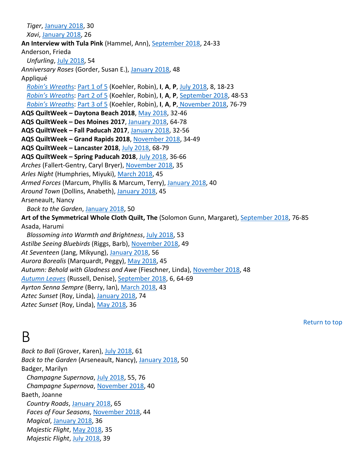*Tiger*, January 2018, 30 *Xavi*, January 2018, 26 **An Interview with Tula Pink** (Hammel, Ann), September 2018, 24-33 Anderson, Frieda *Unfurling*, July 2018, 54 *Anniversary Roses* (Gorder, Susan E.), January 2018, 48 Appliqué *Robin's Wreath*s: Part 1 of 5 (Koehler, Robin), **I**, **A**, **P**, July 2018, 8, 18-23 *Robin's Wreath*s: Part 2 of 5 (Koehler, Robin), **I**, **A**, **P**, September 2018, 48-53 *Robin's Wreath*s: Part 3 of 5 (Koehler, Robin), **I**, **A**, **P**, November 2018, 76-79 **AQS QuiltWeek – Daytona Beach 2018**, May 2018, 32-46 **AQS QuiltWeek – Des Moines 2017**, January 2018, 64-78 **AQS QuiltWeek – Fall Paducah 2017**, January 2018, 32-56 **AQS QuiltWeek – Grand Rapids 2018**, November 2018, 34-49 **AQS QuiltWeek – Lancaster 2018**, July 2018, 68-79 **AQS QuiltWeek – Spring Paducah 2018**, July 2018, 36-66 *Arches* (Fallert-Gentry, Caryl Bryer), November 2018, 35 *Arles Night* (Humphries, Miyuki), March 2018, 45 *Armed Forces* (Marcum, Phyllis & Marcum, Terry), January 2018, 40 *Around Town* (Dollins, Anabeth), January 2018, 45 Arseneault, Nancy *Back to the Garden*, January 2018, 50 **Art of the Symmetrical Whole Cloth Quilt, The** (Solomon Gunn, Margaret), September 2018, 76-85 Asada, Harumi *Blossoming into Warmth and Brightness*, July 2018, 53 *Astilbe Seeing Bluebirds* (Riggs, Barb), November 2018, 49 *At Seventeen* (Jang, Mikyung), January 2018, 56 *Aurora Borealis* (Marquardt, Peggy), May 2018, 45 *Autumn: Behold with Gladness and Awe* (Fieschner, Linda), November 2018, 48 *Autumn Leaves* (Russell, Denise), September 2018, 6, 64-69 *Ayrton Senna Sempre* (Berry, Ian), March 2018, 43 *Aztec Sunset* (Roy, Linda), January 2018, 74 *Aztec Sunset* (Roy, Linda), May 2018, 36

#### B

*Back to Bali* (Grover, Karen), July 2018, 61 *Back to the Garden* (Arseneault, Nancy), January 2018, 50 Badger, Marilyn *Champagne Supernova*, July 2018, 55, 76 *Champagne Supernova*, November 2018, 40 Baeth, Joanne *Country Roads*, January 2018, 65 *Faces of Four Seasons*, November 2018, 44 *Magical*, January 2018, 36 *Majestic Flight*, May 2018, 35 *Majestic Flight*, July 2018, 39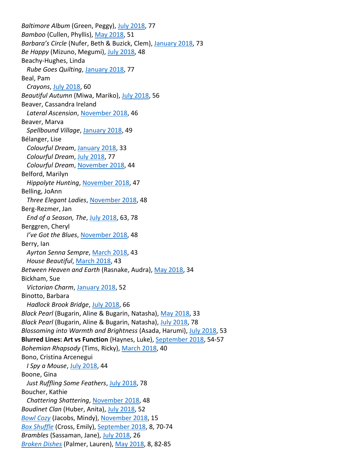*Baltimore Album* (Green, Peggy), July 2018, 77 *Bamboo* (Cullen, Phyllis), May 2018, 51 *Barbara's Circle* (Nufer, Beth & Buzick, Clem), January 2018, 73 *Be Happy* (Mizuno, Megumi), July 2018, 48 Beachy-Hughes, Linda *Rube Goes Quilting*, January 2018, 77 Beal, Pam *Crayons*, July 2018, 60 *Beautiful Autumn* (Miwa, Mariko), July 2018, 56 Beaver, Cassandra Ireland *Lateral Ascension*, November 2018, 46 Beaver, Marva *Spellbound Village*, January 2018, 49 Bélanger, Lise *Colourful Dream*, January 2018, 33 *Colourful Dream*, July 2018, 77 *Colourful Dream*, November 2018, 44 Belford, Marilyn *Hippolyte Hunting*, November 2018, 47 Belling, JoAnn *Three Elegant Ladies*, November 2018, 48 Berg-Rezmer, Jan *End of a Season, The*, July 2018, 63, 78 Berggren, Cheryl *I've Got the Blues*, November 2018, 48 Berry, Ian *Ayrton Senna Sempre*, March 2018, 43 *House Beautiful*, March 2018, 43 *Between Heaven and Earth* (Rasnake, Audra), May 2018, 34 Bickham, Sue *Victorian Charm*, January 2018, 52 Binotto, Barbara *Hadlock Brook Bridge*, July 2018, 66 *Black Pearl* (Bugarin, Aline & Bugarin, Natasha), May 2018, 33 *Black Pearl* (Bugarin, Aline & Bugarin, Natasha), July 2018, 78 *Blossoming into Warmth and Brightness* (Asada, Harumi), July 2018, 53 **Blurred Lines: Art vs Function** (Haynes, Luke), September 2018, 54-57 *Bohemian Rhapsody* (Tims, Ricky), March 2018, 40 Bono, Cristina Arcenegui *I Spy a Mouse*, July 2018, 44 Boone, Gina *Just Ruffling Some Feathers*, July 2018, 78 Boucher, Kathie *Chattering Shattering*, November 2018, 48 *Boudinet Clan* (Huber, Anita), July 2018, 52 *Bowl Cozy* (Jacobs, Mindy), November 2018, 15 *Box Shuffle* (Cross, Emily), September 2018, 8, 70-74 *Brambles* (Sassaman, Jane), July 2018, 26 *Broken Dishes* (Palmer, Lauren), May 2018, 8, 82-85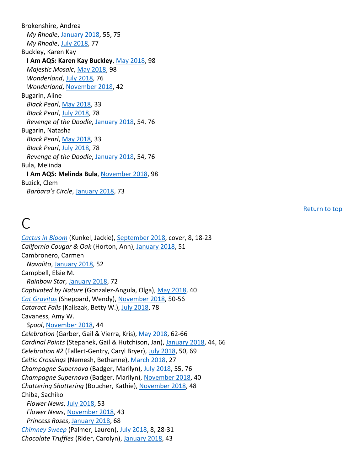Brokenshire, Andrea *My Rhodie*, January 2018, 55, 75 *My Rhodie*, July 2018, 77 Buckley, Karen Kay **I Am AQS: Karen Kay Buckley**, May 2018, 98 *Majestic Mosaic*, May 2018, 98 *Wonderland*, July 2018, 76 *Wonderland*, November 2018, 42 Bugarin, Aline *Black Pearl*, May 2018, 33 *Black Pearl*, July 2018, 78 *Revenge of the Doodle*, January 2018, 54, 76 Bugarin, Natasha *Black Pearl*, May 2018, 33 *Black Pearl*, July 2018, 78 *Revenge of the Doodle*, January 2018, 54, 76 Bula, Melinda **I Am AQS: Melinda Bula**, November 2018, 98 Buzick, Clem *Barbara's Circle*, January 2018, 73

Return to top

#### $\bigcap$

*Cactus in Bloom* (Kunkel, Jackie), September 2018, cover, 8, 18-23 *California Cougar & Oak* (Horton, Ann), January 2018, 51 Cambronero, Carmen *Navalito*, January 2018, 52 Campbell, Elsie M. *Rainbow Star*, January 2018, 72 *Captivated by Nature* (Gonzalez-Angula, Olga), May 2018, 40 *Cat Gravitas* (Sheppard, Wendy), November 2018, 50-56 *Cataract Falls* (Kaliszak, Betty W.), July 2018, 78 Cavaness, Amy W. *Spool*, November 2018, 44 *Celebration* (Garber, Gail & Vierra, Kris), May 2018, 62-66 *Cardinal Points* (Stepanek, Gail & Hutchison, Jan), January 2018, 44, 66 *Celebration #2* (Fallert-Gentry, Caryl Bryer), July 2018, 50, 69 *Celtic Crossings* (Nemesh, Bethanne), March 2018, 27 *Champagne Supernova* (Badger, Marilyn), July 2018, 55, 76 *Champagne Supernova* (Badger, Marilyn), November 2018, 40 *Chattering Shattering* (Boucher, Kathie), November 2018, 48 Chiba, Sachiko *Flower News*, July 2018, 53 *Flower News*, November 2018, 43 *Princess Roses*, January 2018, 68 *Chimney Sweep* (Palmer, Lauren), July 2018, 8, 28-31 *Chocolate Truffles* (Rider, Carolyn), January 2018, 43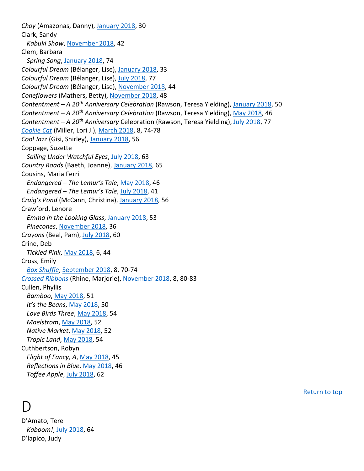*Choy* (Amazonas, Danny), January 2018, 30 Clark, Sandy *Kabuki Show*, November 2018, 42 Clem, Barbara *Spring Song*, January 2018, 74 *Colourful Dream* (Bélanger, Lise), January 2018, 33 *Colourful Dream* (Bélanger, Lise), July 2018, 77 *Colourful Dream* (Bélanger, Lise), November 2018, 44 *Coneflowers* (Mathers, Betty), November 2018, 48 *Contentment – A 20th Anniversary Celebration* (Rawson, Teresa Yielding), January 2018, 50 *Contentment – A 20th Anniversary Celebration* (Rawson, Teresa Yielding), May 2018, 46 *Contentment – A 20th Anniversary* Celebration (Rawson, Teresa Yielding), July 2018, 77 *Cookie Cat* (Miller, Lori J.), March 2018, 8, 74-78 *Cool Jazz* (Gisi, Shirley), January 2018, 56 Coppage, Suzette *Sailing Under Watchful Eyes*, July 2018, 63 *Country Roads* (Baeth, Joanne), January 2018, 65 Cousins, Maria Ferri *Endangered – The Lemur's Tale*, May 2018, 46 *Endangered – The Lemur's Tale*, July 2018, 41 *Craig's Pond* (McCann, Christina), January 2018, 56 Crawford, Lenore *Emma in the Looking Glass*, January 2018, 53 *Pinecones*, November 2018, 36 *Crayons* (Beal, Pam), July 2018, 60 Crine, Deb *Tickled Pink*, May 2018, 6, 44 Cross, Emily *Box Shuffle*, September 2018, 8, 70-74 *Crossed Ribbons* (Rhine, Marjorie), November 2018, 8, 80-83 Cullen, Phyllis *Bamboo*, May 2018, 51 *It's the Beans*, May 2018, 50 *Love Birds Three*, May 2018, 54 *Maelstrom*, May 2018, 52 *Native Market*, May 2018, 52 *Tropic Land*, May 2018, 54 Cuthbertson, Robyn *Flight of Fancy, A*, May 2018, 45 *Reflections in Blue*, May 2018, 46 *Toffee Apple*, July 2018, 62

## D

D'Amato, Tere *Kaboom!*, July 2018, 64 D'lapico, Judy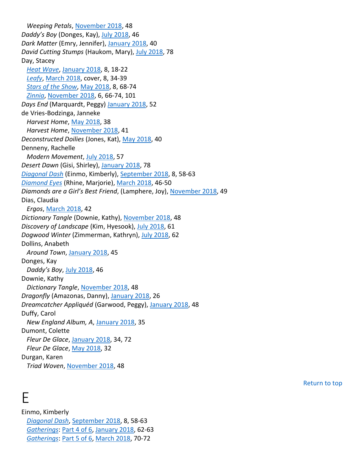*Weeping Petals*, November 2018, 48 *Daddy's Boy* (Donges, Kay), July 2018, 46 *Dark Matter* (Emry, Jennifer), January 2018, 40 *David Cutting Stumps* (Haukom, Mary), July 2018, 78 Day, Stacey *Heat Wave*, January 2018, 8, 18-22 *Leafy*, March 2018, cover, 8, 34-39 *Stars of the Show*, May 2018, 8, 68-74 *Zinnia*, November 2018, 6, 66-74, 101 *Days End* (Marquardt, Peggy) January 2018, 52 de Vries-Bodzinga, Janneke *Harvest Home*, May 2018, 38 *Harvest Home*, November 2018, 41 *Deconstructed Doilies* (Jones, Kat), May 2018, 40 Denneny, Rachelle *Modern Movement*, July 2018, 57 *Desert Dawn* (Gisi, Shirley), January 2018, 78 *Diagonal Dash* (Einmo, Kimberly), September 2018, 8, 58-63 *Diamond Eyes* (Rhine, Marjorie), March 2018, 46-50 *Diamonds are a Girl's Best Friend*, (Lamphere, Joy), November 2018, 49 Dias, Claudia *Ergos*, March 2018, 42 *Dictionary Tangle* (Downie, Kathy), November 2018, 48 *Discovery of Landscape* (Kim, Hyesook), July 2018, 61 *Dogwood Winter* (Zimmerman, Kathryn), July 2018, 62 Dollins, Anabeth *Around Town*, January 2018, 45 Donges, Kay *Daddy's Boy*, July 2018, 46 Downie, Kathy *Dictionary Tangle*, November 2018, 48 *Dragonfly* (Amazonas, Danny), January 2018, 26 *Dreamcatcher Appliquéd* (Garwood, Peggy), January 2018, 48 Duffy, Carol *New England Album, A*, January 2018, 35 Dumont, Colette *Fleur De Glace*, January 2018, 34, 72 *Fleur De Glace*, May 2018, 32 Durgan, Karen *Triad Woven*, November 2018, 48

#### E

Einmo, Kimberly *Diagonal Dash*, September 2018, 8, 58-63 *Gatherings*: Part 4 of 6, January 2018, 62-63 *Gatherings*: Part 5 of 6, March 2018, 70-72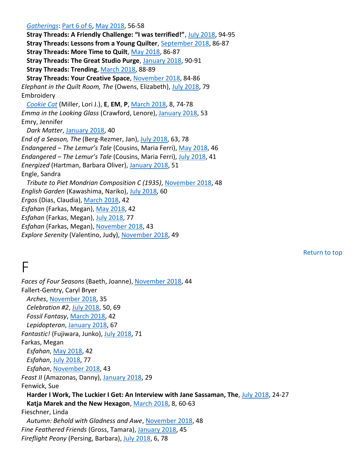*Gatherings*: Part 6 of 6, May 2018, 56-58 **Stray Threads: A Friendly Challenge: "I was terrified!"**, July 2018, 94-95 **Stray Threads: Lessons from a Young Quilter**, September 2018, 86-87 **Stray Threads: More Time to Quilt**, May 2018, 86-87 **Stray Threads: The Great Studio Purge**, January 2018, 90-91 **Stray Threads: Trending**, March 2018, 88-89 **Stray Threads: Your Creative Space**, November 2018, 84-86 *Elephant in the Quilt Room, The* (Owens, Elizabeth), July 2018, 79 Embroidery *Cookie Cat* (Miller, Lori J.), **E**, **EM**, **P**, March 2018, 8, 74-78 *Emma in the Looking Glass* (Crawford, Lenore), January 2018, 53 Emry, Jennifer *Dark Matter*, January 2018, 40 *End of a Season, The* (Berg-Rezmer, Jan), July 2018, 63, 78 *Endangered – The Lemur's Tale* (Cousins, Maria Ferri), May 2018, 46 *Endangered – The Lemur's Tale* (Cousins, Maria Ferri), July 2018, 41 *Energized* (Hartman, Barbara Oliver), January 2018, 51 Engle, Sandra *Tribute to Piet Mondrian Composition C (1935)*, November 2018, 48 *English Garden* (Kawashima, Nariko), July 2018, 60 *Ergos* (Dias, Claudia), March 2018, 42 *Esfahan* (Farkas, Megan), May 2018, 42 *Esfahan* (Farkas, Megan), July 2018, 77 *Esfahan* (Farkas, Megan), November 2018, 43 *Explore Serenity* (Valentino, Judy), November 2018, 49

## F

*Faces of Four Seasons* (Baeth, Joanne), November 2018, 44 Fallert-Gentry, Caryl Bryer *Arches*, November 2018, 35 *Celebration #2*, July 2018, 50, 69 *Fossil Fantasy*, March 2018, 42 *Lepidopteran*, January 2018, 67 *Fantastic!* (Fujiwara, Junko), July 2018, 71 Farkas, Megan *Esfahan*, May 2018, 42 *Esfahan*, July 2018, 77 *Esfahan*, November 2018, 43 *Feast II* (Amazonas, Danny), January 2018, 29 Fenwick, Sue **Harder I Work, The Luckier I Get: An Interview with Jane Sassaman, The**, July 2018, 24-27 **Katja Marek and the New Hexagon**, March 2018, 8, 60-63 Fieschner, Linda *Autumn: Behold with Gladness and Awe*, November 2018, 48 *Fine Feathered Friends* (Gross, Tamara), January 2018, 45 *Fireflight Peony* (Persing, Barbara), July 2018, 6, 78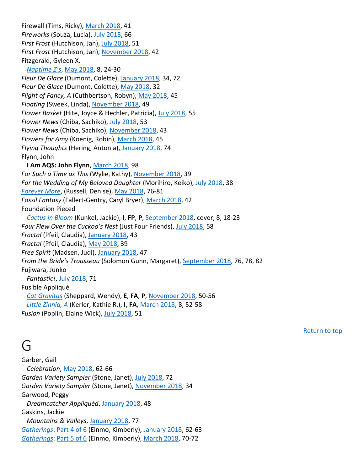Firewall (Tims, Ricky), March 2018, 41 *Fireworks* (Souza, Lucia), July 2018, 66 *First Frost* (Hutchison, Jan), July 2018, 51 *First Frost* (Hutchison, Jan), November 2018, 42 Fitzgerald, Gyleen X. *Naptime Z's*, May 2018, 8, 24-30 *Fleur De Glace* (Dumont, Colette), January 2018, 34, 72 *Fleur De Glace* (Dumont, Colette), May 2018, 32 *Flight of Fancy, A* (Cuthbertson, Robyn), May 2018, 45 *Floating* (Sweek, Linda), November 2018, 49 *Flower Basket* (Hite, Joyce & Hechler, Patricia), July 2018, 55 *Flower News* (Chiba, Sachiko), July 2018, 53 *Flower News* (Chiba, Sachiko), November 2018, 43 *Flowers for Amy* (Koenig, Robin), March 2018, 45 *Flying Thoughts* (Hering, Antonia), January 2018, 74 Flynn, John **I Am AQS: John Flynn**, March 2018, 98 *For Such a Time as This* (Wylie, Kathy), November 2018, 39 *For the Wedding of My Beloved Daughter* (Morihiro, Keiko), July 2018, 38 *Forever More*, (Russell, Denise), May 2018, 76-81 *Fossil Fantasy* (Fallert-Gentry, Caryl Bryer), March 2018, 42 Foundation Pieced *Cactus in Bloom* (Kunkel, Jackie), **I**, **FP**, **P**, September 2018, cover, 8, 18-23 *Four Flew Over the Cuckoo's Nest* (Just Four Friends), July 2018, 58 *Fractal* (Pfeil, Claudia), January 2018, 43 *Fractal* (Pfeil, Claudia), May 2018, 39 *Free Spirit* (Madsen, Judi), January 2018, 47 *From the Bride's Trousseau* (Solomon Gunn, Margaret), September 2018, 76, 78, 82 Fujiwara, Junko *Fantastic!*, July 2018, 71 Fusible Appliqué *Cat Gravitas* (Sheppard, Wendy), **E**, **FA**, **P**, November 2018, 50-56 *Little Zinnia, A* (Kerler, Kathie R.), **I**, **FA**, March 2018, 8, 52-58 *Fusion* (Poplin, Elaine Wick), July 2018, 51

Return to top

#### $\overline{\mathsf{G}}$

Garber, Gail *Celebration*, May 2018, 62-66 *Garden Variety Sampler* (Stone, Janet), July 2018, 72 *Garden Variety Sampler* (Stone, Janet), November 2018, 34 Garwood, Peggy *Dreamcatcher Appliquéd*, January 2018, 48 Gaskins, Jackie *Mountains & Valleys*, January 2018, 77 *Gatherings*: Part 4 of 6 (Einmo, Kimberly), January 2018, 62-63 *Gatherings*: Part 5 of 6 (Einmo, Kimberly), March 2018, 70-72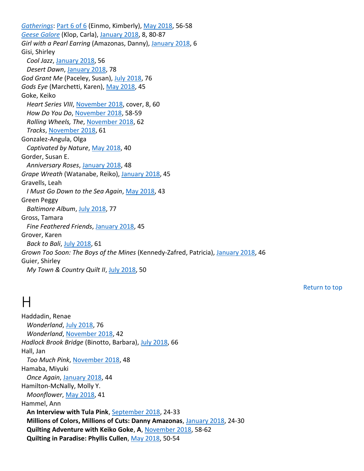*Gatherings*: Part 6 of 6 (Einmo, Kimberly), May 2018, 56-58 *Geese Galore* (Klop, Carla), January 2018, 8, 80-87 *Girl with a Pearl Earring* (Amazonas, Danny), January 2018, 6 Gisi, Shirley *Cool Jazz*, January 2018, 56 *Desert Dawn*, January 2018, 78 *God Grant Me* (Paceley, Susan), July 2018, 76 *Gods Eye* (Marchetti, Karen), May 2018, 45 Goke, Keiko *Heart Series VIII*, November 2018, cover, 8, 60 *How Do You Do*, November 2018, 58-59 *Rolling Wheels, The*, November 2018, 62 *Tracks*, November 2018, 61 Gonzalez-Angula, Olga *Captivated by Nature*, May 2018, 40 Gorder, Susan E. *Anniversary Roses*, January 2018, 48 *Grape Wreath* (Watanabe, Reiko), January 2018, 45 Gravells, Leah *I Must Go Down to the Sea Again*, May 2018, 43 Green Peggy *Baltimore Album*, July 2018, 77 Gross, Tamara *Fine Feathered Friends*, January 2018, 45 Grover, Karen *Back to Bali*, July 2018, 61 *Grown Too Soon: The Boys of the Mines* (Kennedy-Zafred, Patricia), January 2018, 46 Guier, Shirley *My Town & Country Quilt II*, July 2018, 50

Return to top

#### H

Haddadin, Renae *Wonderland*, July 2018, 76 *Wonderland*, November 2018, 42 *Hadlock Brook Bridge* (Binotto, Barbara), July 2018, 66 Hall, Jan *Too Much Pink*, November 2018, 48 Hamaba, Miyuki *Once Again*, January 2018, 44 Hamilton-McNally, Molly Y. *Moonflower*, May 2018, 41 Hammel, Ann **An Interview with Tula Pink**, September 2018, 24-33 **Millions of Colors, Millions of Cuts: Danny Amazonas**, January 2018, 24-30 **Quilting Adventure with Keiko Goke**, **A**, November 2018, 58-62 **Quilting in Paradise: Phyllis Cullen**, May 2018, 50-54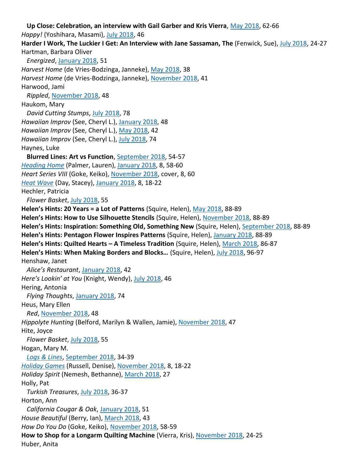**Up Close: Celebration, an interview with Gail Garber and Kris Vierra**, May 2018, 62-66 *Happy!* (Yoshihara, Masami), July 2018, 46 **Harder I Work, The Luckier I Get: An Interview with Jane Sassaman, The** (Fenwick, Sue), July 2018, 24-27 Hartman, Barbara Oliver *Energized*, January 2018, 51 *Harvest Home* (de Vries-Bodzinga, Janneke), May 2018, 38 *Harvest Home* (de Vries-Bodzinga, Janneke), November 2018, 41 Harwood, Jami *Rippled*, November 2018, 48 Haukom, Mary *David Cutting Stumps*, July 2018, 78 *Hawaiian Improv* (See, Cheryl L.), January 2018, 48 *Hawaiian Improv* (See, Cheryl L.), May 2018, 42 *Hawaiian Improv* (See, Cheryl L.), July 2018, 74 Haynes, Luke **Blurred Lines: Art vs Function**, September 2018, 54-57 *Heading Home* (Palmer, Lauren), January 2018, 8, 58-60 *Heart Series VIII* (Goke, Keiko), November 2018, cover, 8, 60 *Heat Wave* (Day, Stacey), January 2018, 8, 18-22 Hechler, Patricia *Flower Basket*, July 2018, 55 **Helen's Hints: 20 Years = a Lot of Patterns** (Squire, Helen), May 2018, 88-89 **Helen's Hints: How to Use Silhouette Stencils** (Squire, Helen), November 2018, 88-89 **Helen's Hints: Inspiration: Something Old, Something New** (Squire, Helen), September 2018, 88-89 **Helen's Hints: Pentagon Flower Inspires Patterns** (Squire, Helen), January 2018, 88-89 **Helen's Hints: Quilted Hearts – A Timeless Tradition** (Squire, Helen), March 2018, 86-87 **Helen's Hints: When Making Borders and Blocks…** (Squire, Helen), July 2018, 96-97 Henshaw, Janet *Alice's Restaurant*, January 2018, 42 *Here's Lookin' at You* (Knight, Wendy), July 2018, 46 Hering, Antonia *Flying Thoughts*, January 2018, 74 Heus, Mary Ellen *Red*, November 2018, 48 *Hippolyte Hunting* (Belford, Marilyn & Wallen, Jamie), November 2018, 47 Hite, Joyce *Flower Basket*, July 2018, 55 Hogan, Mary M. *Logs & Lines*, September 2018, 34-39 *Holiday Games* (Russell, Denise), November 2018, 8, 18-22 *Holiday Spirit* (Nemesh, Bethanne), March 2018, 27 Holly, Pat *Turkish Treasures*, July 2018, 36-37 Horton, Ann *California Cougar & Oak*, January 2018, 51 *House Beautiful* (Berry, Ian), March 2018, 43 *How Do You Do* (Goke, Keiko), November 2018, 58-59 **How to Shop for a Longarm Quilting Machine** (Vierra, Kris), November 2018, 24-25 Huber, Anita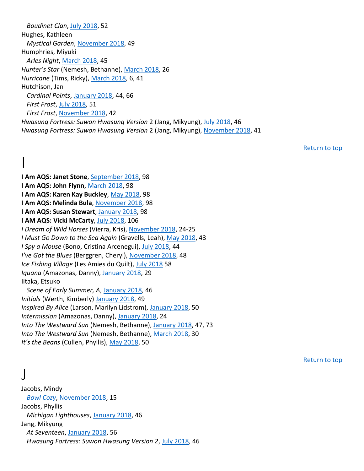*Boudinet Clan*, July 2018, 52 Hughes, Kathleen *Mystical Garden*, November 2018, 49 Humphries, Miyuki *Arles Night*, March 2018, 45 *Hunter's Star* (Nemesh, Bethanne), March 2018, 26 *Hurricane* (Tims, Ricky), March 2018, 6, 41 Hutchison, Jan *Cardinal Points*, January 2018, 44, 66 *First Frost*, July 2018, 51 *First Frost*, November 2018, 42 *Hwasung Fortress: Suwon Hwasung Version* 2 (Jang, Mikyung), July 2018, 46 *Hwasung Fortress: Suwon Hwasung Version* 2 (Jang, Mikyung), November 2018, 41

Return to top

## $\overline{\phantom{a}}$

**I Am AQS: Janet Stone**, September 2018, 98 **I Am AQS: John Flynn**, March 2018, 98 **I Am AQS: Karen Kay Buckley**, May 2018, 98 **I Am AQS: Melinda Bula**, November 2018, 98 **I Am AQS: Susan Stewart**, January 2018, 98 **I AM AQS: Vicki McCarty**, July 2018, 106 *I Dream of Wild Horses* (Vierra, Kris), November 2018, 24-25 *I Must Go Down to the Sea Again* (Gravells, Leah), May 2018, 43 *I Spy a Mouse* (Bono, Cristina Arcenegui), July 2018, 44 *I've Got the Blues* (Berggren, Cheryl), November 2018, 48 *Ice Fishing Village* (Les Amies du Quilt), July 2018 58 *Iguana* (Amazonas, Danny), January 2018, 29 Iitaka, Etsuko *Scene of Early Summer, A*, January 2018, 46 *Initials* (Werth, Kimberly) January 2018, 49 *Inspired By Alice* (Larson, Marilyn Lidstrom), January 2018, 50

*Intermission* (Amazonas, Danny), January 2018, 24

*Into The Westward Sun* (Nemesh, Bethanne), January 2018, 47, 73

*Into The Westward Sun* (Nemesh, Bethanne), March 2018, 30

*It's the Beans* (Cullen, Phyllis), May 2018, 50

Return to top

## J

Jacobs, Mindy *Bowl Cozy*, November 2018, 15 Jacobs, Phyllis *Michigan Lighthouses*, January 2018, 46 Jang, Mikyung *At Seventeen*, January 2018, 56 *Hwasung Fortress: Suwon Hwasung Version 2*, July 2018, 46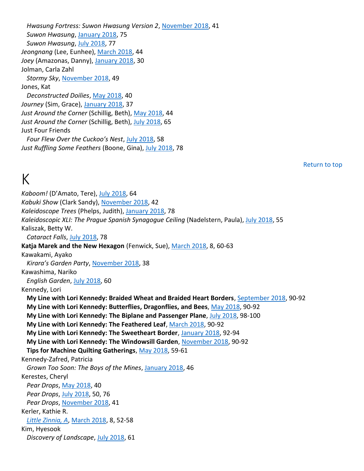*Hwasung Fortress: Suwon Hwasung Version 2*, November 2018, 41 *Suwon Hwasung*, January 2018, 75 *Suwon Hwasung*, July 2018, 77 *Jeongnang* (Lee, Eunhee), March 2018, 44 *Joey* (Amazonas, Danny), January 2018, 30 Jolman, Carla Zahl *Stormy Sky*, November 2018, 49 Jones, Kat *Deconstructed Doilies*, May 2018, 40 *Journey* (Sim, Grace), January 2018, 37 *Just Around the Corner* (Schillig, Beth), May 2018, 44 *Just Around the Corner* (Schillig, Beth), July 2018, 65 Just Four Friends *Four Flew Over the Cuckoo's Nest*, July 2018, 58 *Just Ruffling Some Feathers* (Boone, Gina), July 2018, 78

## K

Return to top

*Kaboom!* (D'Amato, Tere), July 2018, 64 *Kabuki Show* (Clark Sandy), November 2018, 42 *Kaleidoscope Trees* (Phelps, Judith), January 2018, 78 *Kaleidoscopic XLI: The Prague Spanish Synagogue Ceiling* (Nadelstern, Paula), July 2018, 55 Kaliszak, Betty W. *Cataract Falls*, July 2018, 78 **Katja Marek and the New Hexagon** (Fenwick, Sue), March 2018, 8, 60-63 Kawakami, Ayako *Kirara's Garden Party*, November 2018, 38 Kawashima, Nariko *English Garden*, July 2018, 60 Kennedy, Lori **My Line with Lori Kennedy: Braided Wheat and Braided Heart Borders**, September 2018, 90-92 **My Line with Lori Kennedy: Butterflies, Dragonflies, and Bees**, May 2018, 90-92 **My Line with Lori Kennedy: The Biplane and Passenger Plane**, July 2018, 98-100 **My Line with Lori Kennedy: The Feathered Leaf**, March 2018, 90-92 **My Line with Lori Kennedy: The Sweetheart Border**, January 2018, 92-94 **My Line with Lori Kennedy: The Windowsill Garden**, November 2018, 90-92 **Tips for Machine Quilting Gatherings**, May 2018, 59-61 Kennedy-Zafred, Patricia *Grown Too Soon: The Boys of the Mines*, January 2018, 46 Kerestes, Cheryl *Pear Drops*, May 2018, 40 *Pear Drops*, July 2018, 50, 76 *Pear Drops*, November 2018, 41 Kerler, Kathie R. *Little Zinnia, A*, March 2018, 8, 52-58 Kim, Hyesook *Discovery of Landscape*, July 2018, 61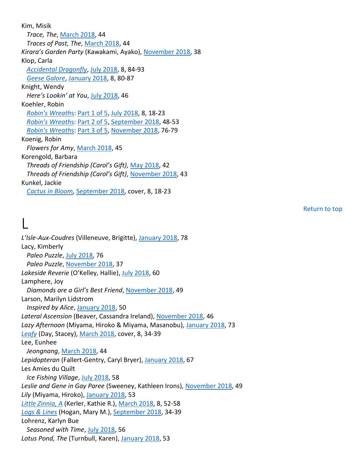Kim, Misik *Trace, The*, March 2018, 44 *Traces of Past, The*, March 2018, 44 *Kirara's Garden Party* (Kawakami, Ayako), November 2018, 38 Klop, Carla *Accidental Dragonfly*, July 2018, 8, 84-93 *Geese Galore*, January 2018, 8, 80-87 Knight, Wendy *Here's Lookin' at You*, July 2018, 46 Koehler, Robin *Robin's Wreath*s: Part 1 of 5, July 2018, 8, 18-23 *Robin's Wreath*s: Part 2 of 5, September 2018, 48-53 *Robin's Wreath*s: Part 3 of 5, November 2018, 76-79 Koenig, Robin *Flowers for Amy*, March 2018, 45 Korengold, Barbara *Threads of Friendship (Carol's Gift)*, May 2018, 42 *Threads of Friendship (Carol's Gift)*, November 2018, 43 Kunkel, Jackie *Cactus in Bloom,* September 2018, cover, 8, 18-23

Return to top

## L

*L'Isle-Aux-Coudres* (Villeneuve, Brigitte), January 2018, 78 Lacy, Kimberly *Paleo Puzzle*, July 2018, 76 *Paleo Puzzle*, November 2018, 37 *Lakeside Reverie* (O'Kelley, Hallie), July 2018, 60 Lamphere, Joy *Diamonds are a Girl's Best Friend*, November 2018, 49 Larson, Marilyn Lidstrom *Inspired by Alice*, January 2018, 50 *Lateral Ascension* (Beaver, Cassandra Ireland), November 2018, 46 *Lazy Afternoon* (Miyama, Hiroko & Miyama, Masanobu), January 2018, 73 *Leafy* (Day, Stacey), March 2018, cover, 8, 34-39 Lee, Eunhee *Jeongnang*, March 2018, 44 *Lepidopteran* (Fallert-Gentry, Caryl Bryer), January 2018, 67 Les Amies du Quilt *Ice Fishing Village*, July 2018, 58 *Leslie and Gene in Gay Paree* (Sweeney, Kathleen Irons), November 2018, 49 *Lily* (Miyama, Hiroko), January 2018, 53 *Little Zinnia, A* (Kerler, Kathie R.), March 2018, 8, 52-58 *Logs & Lines* (Hogan, Mary M.), September 2018, 34-39 Lohrenz, Karlyn Bue *Seasoned with Time*, July 2018, 56 *Lotus Pond, The* (Turnbull, Karen), January 2018, 53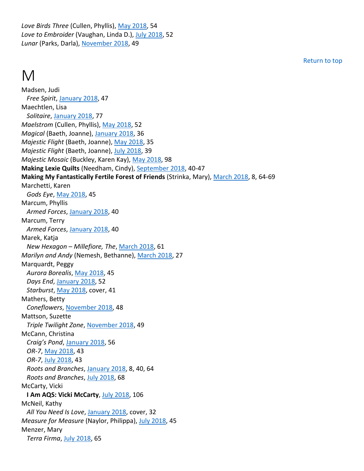*Love Birds Three* (Cullen, Phyllis), May 2018, 54 *Love to Embroider* (Vaughan, Linda D.), July 2018, 52 *Lunar* (Parks, Darla), November 2018, 49

#### M

Madsen, Judi *Free Spirit*, January 2018, 47 Maechtlen, Lisa *Solitaire*, January 2018, 77 *Maelstrom* (Cullen, Phyllis), May 2018, 52 *Magical* (Baeth, Joanne), January 2018, 36 *Majestic Flight* (Baeth, Joanne), May 2018, 35 *Majestic Flight* (Baeth, Joanne), July 2018, 39 *Majestic Mosaic* (Buckley, Karen Kay), May 2018, 98 **Making Lexie Quilts** (Needham, Cindy), September 2018, 40-47 **Making My Fantastically Fertile Forest of Friends** (Strinka, Mary), March 2018, 8, 64-69 Marchetti, Karen *Gods Eye*, May 2018, 45 Marcum, Phyllis *Armed Forces*, January 2018, 40 Marcum, Terry *Armed Forces*, January 2018, 40 Marek, Katja *New Hexagon – Millefiore, The*, March 2018, 61 *Marilyn and Andy* (Nemesh, Bethanne), March 2018, 27 Marquardt, Peggy *Aurora Borealis*, May 2018, 45 *Days End*, January 2018, 52 *Starburst*, May 2018, cover, 41 Mathers, Betty *Coneflowers*, November 2018, 48 Mattson, Suzette *Triple Twilight Zone*, November 2018, 49 McCann, Christina *Craig's Pond*, January 2018, 56 *OR-7*, May 2018, 43 *OR-7*, July 2018, 43 *Roots and Branches*, January 2018, 8, 40, 64 *Roots and Branches*, July 2018, 68 McCarty, Vicki **I Am AQS: Vicki McCarty**, July 2018, 106 McNeil, Kathy *All You Need Is Love*, January 2018, cover, 32 *Measure for Measure* (Naylor, Philippa), July 2018, 45

Menzer, Mary *Terra Firma*, July 2018, 65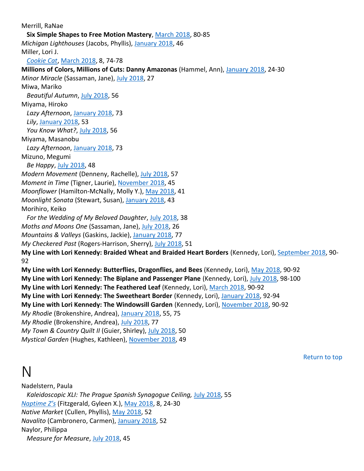Merrill, RaNae **Six Simple Shapes to Free Motion Mastery**, March 2018, 80-85 *Michigan Lighthouses* (Jacobs, Phyllis), January 2018, 46 Miller, Lori J. *Cookie Cat*, March 2018, 8, 74-78 **Millions of Colors, Millions of Cuts: Danny Amazonas** (Hammel, Ann), January 2018, 24-30 *Minor Miracle* (Sassaman, Jane), July 2018, 27 Miwa, Mariko *Beautiful Autumn*, July 2018, 56 Miyama, Hiroko *Lazy Afternoon*, January 2018, 73 *Lily*, January 2018, 53 *You Know What?*, July 2018, 56 Miyama, Masanobu *Lazy Afternoon*, January 2018, 73 Mizuno, Megumi *Be Happy*, July 2018, 48 *Modern Movement* (Denneny, Rachelle), July 2018, 57 *Moment in Time* (Tigner, Laurie), November 2018, 45 *Moonflower* (Hamilton-McNally, Molly Y.), May 2018, 41 *Moonlight Sonata* (Stewart, Susan), January 2018, 43 Morihiro, Keiko *For the Wedding of My Beloved Daughter*, July 2018, 38 *Moths and Moons One* (Sassaman, Jane), July 2018, 26 *Mountains & Valleys* (Gaskins, Jackie), January 2018, 77 *My Checkered Past* (Rogers-Harrison, Sherry), July 2018, 51 **My Line with Lori Kennedy: Braided Wheat and Braided Heart Borders** (Kennedy, Lori), September 2018, 90- 92 **My Line with Lori Kennedy: Butterflies, Dragonflies, and Bees** (Kennedy, Lori), May 2018, 90-92 **My Line with Lori Kennedy: The Biplane and Passenger Plane** (Kennedy, Lori), July 2018, 98-100 **My Line with Lori Kennedy: The Feathered Leaf** (Kennedy, Lori), March 2018, 90-92 **My Line with Lori Kennedy: The Sweetheart Border** (Kennedy, Lori), January 2018, 92-94 **My Line with Lori Kennedy: The Windowsill Garden** (Kennedy, Lori), November 2018, 90-92 *My Rhodie* (Brokenshire, Andrea), January 2018, 55, 75 *My Rhodie* (Brokenshire, Andrea), July 2018, 77 *My Town & Country Quilt II* (Guier, Shirley), July 2018, 50 *Mystical Garden* (Hughes, Kathleen), November 2018, 49

Return to top

#### N

Nadelstern, Paula *Kaleidoscopic XLI: The Prague Spanish Synagogue Ceiling,* July 2018, 55 *Naptime Z's* (Fitzgerald, Gyleen X.), May 2018, 8, 24-30 *Native Market* (Cullen, Phyllis), May 2018, 52 *Navalito* (Cambronero, Carmen), January 2018, 52 Naylor, Philippa *Measure for Measure*, July 2018, 45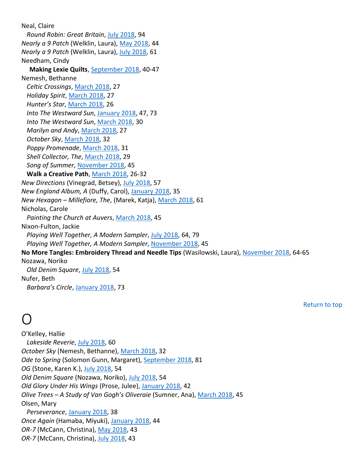Neal, Claire *Round Robin: Great Britain*, July 2018, 94 *Nearly a 9 Patch* (Welklin, Laura), May 2018, 44 *Nearly a 9 Patch* (Welklin, Laura), July 2018, 61 Needham, Cindy **Making Lexie Quilts**, September 2018, 40-47 Nemesh, Bethanne *Celtic Crossings*, March 2018, 27 *Holiday Spirit*, March 2018, 27 *Hunter's Star*, March 2018, 26 *Into The Westward Sun*, January 2018, 47, 73 *Into The Westward Sun*, March 2018, 30 *Marilyn and Andy*, March 2018, 27 *October Sky*, March 2018, 32 *Poppy Promenade*, March 2018, 31 *Shell Collector, The*, March 2018, 29 *Song of Summer*, November 2018, 45 **Walk a Creative Path**, March 2018, 26-32 *New Directions* (Vinegrad, Betsey), July 2018, 57 *New England Album, A* (Duffy, Carol), January 2018, 35 *New Hexagon – Millefiore, The*, (Marek, Katja), March 2018, 61 Nicholas, Carole *Painting the Church at Auvers*, March 2018, 45 Nixon-Fulton, Jackie *Playing Well Together, A Modern Sampler*, July 2018, 64, 79 *Playing Well Together, A Modern Sampler*, November 2018, 45 **No More Tangles: Embroidery Thread and Needle Tips** (Wasilowski, Laura), November 2018, 64-65 Nozawa, Noriko *Old Denim Square*, July 2018, 54 Nufer, Beth *Barbara's Circle*, January 2018, 73

## O

Return to top

O'Kelley, Hallie *Lakeside Reverie*, July 2018, 60 *October Sky* (Nemesh, Bethanne), March 2018, 32 *Ode to Spring* (Solomon Gunn, Margaret), September 2018, 81 *OG* (Stone, Karen K.), July 2018, 54 *Old Denim Square* (Nozawa, Noriko), July 2018, 54 *Old Glory Under His Wings* (Prose, Julee), January 2018, 42 *Olive Trees – A Study of Van Gogh's Oliveraie* (Sumner, Ana), March 2018, 45 Olsen, Mary *Perseverance*, January 2018, 38 *Once Again* (Hamaba, Miyuki), January 2018, 44 *OR-7* (McCann, Christina), May 2018, 43 *OR-7* (McCann, Christina), July 2018, 43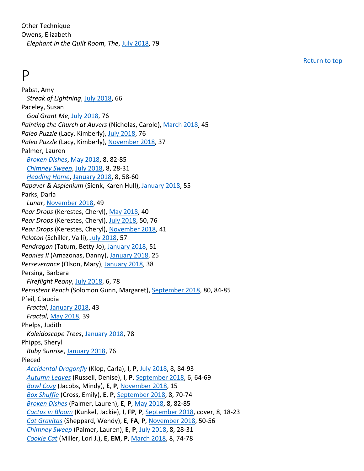Other Technique Owens, Elizabeth *Elephant in the Quilt Room, The*, July 2018, 79

#### P

Pabst, Amy *Streak of Lightning*, July 2018, 66 Paceley, Susan *God Grant Me*, July 2018, 76 *Painting the Church at Auvers* (Nicholas, Carole), March 2018, 45 *Paleo Puzzle* (Lacy, Kimberly), July 2018, 76 *Paleo Puzzle* (Lacy, Kimberly), November 2018, 37 Palmer, Lauren *Broken Dishes*, May 2018, 8, 82-85 *Chimney Sweep*, July 2018, 8, 28-31 *Heading Home*, January 2018, 8, 58-60 *Papaver & Asplenium* (Sienk, Karen Hull), January 2018, 55 Parks, Darla *Lunar*, November 2018, 49 *Pear Drops* (Kerestes, Cheryl), May 2018, 40 *Pear Drops* (Kerestes, Cheryl), July 2018, 50, 76 Pear Drops (Kerestes, Cheryl), November 2018, 41 *Peloton* (Schiller, Valli), July 2018, 57 *Pendragon* (Tatum, Betty Jo), January 2018, 51 *Peonies II* (Amazonas, Danny), January 2018, 25 *Perseverance* (Olson, Mary), January 2018, 38 Persing, Barbara *Fireflight Peony*, July 2018, 6, 78 *Persistent Peach* (Solomon Gunn, Margaret), September 2018, 80, 84-85 Pfeil, Claudia *Fractal*, January 2018, 43 *Fractal*, May 2018, 39 Phelps, Judith *Kaleidoscope Trees*, January 2018, 78 Phipps, Sheryl *Ruby Sunrise*, January 2018, 76 Pieced *Accidental Dragonfly* (Klop, Carla), **I**, **P**, July 2018, 8, 84-93 *Autumn Leaves* (Russell, Denise), **I**, **P**, September 2018, 6, 64-69 *Bowl Cozy* (Jacobs, Mindy), **E**, **P**, November 2018, 15 *Box Shuffle* (Cross, Emily), **E**, **P**, September 2018, 8, 70-74 *Broken Dishes* (Palmer, Lauren), **E**, **P**, May 2018, 8, 82-85 *Cactus in Bloom* (Kunkel, Jackie), **I**, **FP**, **P**, September 2018, cover, 8, 18-23 *Cat Gravitas* (Sheppard, Wendy), **E**, **FA**, **P**, November 2018, 50-56 *Chimney Sweep* (Palmer, Lauren), **E**, **P**, July 2018, 8, 28-31 *Cookie Cat* (Miller, Lori J.), **E**, **EM**, **P**, March 2018, 8, 74-78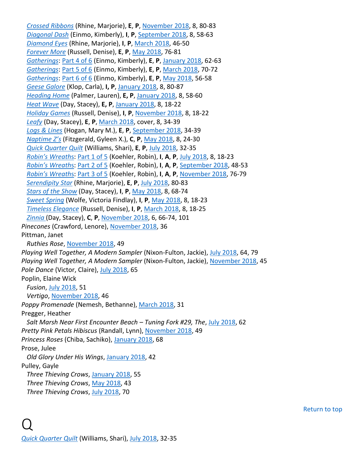*Crossed Ribbons* (Rhine, Marjorie), **E**, **P**, November 2018, 8, 80-83 *Diagonal Dash* (Einmo, Kimberly), **I**, **P**, September 2018, 8, 58-63 *Diamond Eyes* (Rhine, Marjorie), **I**, **P**, March 2018, 46-50 *Forever More* (Russell, Denise), **E**, **P**, May 2018, 76-81 *Gatherings*: Part 4 of 6 (Einmo, Kimberly), **E**, **P**, January 2018, 62-63 *Gatherings*: Part 5 of 6 (Einmo, Kimberly), **E**, **P**, March 2018, 70-72 *Gatherings*: Part 6 of 6 (Einmo, Kimberly), **E**, **P**, May 2018, 56-58 *Geese Galore* (Klop, Carla), **I, P**, January 2018, 8, 80-87 *Heading Home* (Palmer, Lauren), **E, P**, January 2018, 8, 58-60 *Heat Wave* (Day, Stacey), **E, P**, January 2018, 8, 18-22 *Holiday Games* (Russell, Denise), **I**, **P**, November 2018, 8, 18-22 *Leafy* (Day, Stacey), **E**, **P**, March 2018, cover, 8, 34-39 *Logs & Lines* (Hogan, Mary M.), **E**, **P**, September 2018, 34-39 *Naptime Z's* (Fitzgerald, Gyleen X.), **C**, **P**, May 2018, 8, 24-30 *Quick Quarter Quilt* (Williams, Shari), **E**, **P**, July 2018, 32-35 *Robin's Wreath*s: Part 1 of 5 (Koehler, Robin), **I**, **A**, **P**, July 2018, 8, 18-23 *Robin's Wreath*s: Part 2 of 5 (Koehler, Robin), **I**, **A**, **P**, September 2018, 48-53 *Robin's Wreath*s: Part 3 of 5 (Koehler, Robin), **I**, **A**, **P**, November 2018, 76-79 *Serendipity Star* (Rhine, Marjorie), **E**, **P**, July 2018, 80-83 *Stars of the Show* (Day, Stacey), **I**, **P**, May 2018, 8, 68-74 *Sweet Spring* (Wolfe, Victoria Findlay), **I**, **P**, May 2018, 8, 18-23 *Timeless Elegance* (Russell, Denise), **I**, **P**, March 2018, 8, 18-25 *Zinnia* (Day, Stacey), **C**, **P**, November 2018, 6, 66-74, 101 *Pinecones* (Crawford, Lenore), November 2018, 36 Pittman, Janet *Ruthies Rose*, November 2018, 49 *Playing Well Together, A Modern Sampler* (Nixon-Fulton, Jackie), July 2018, 64, 79 *Playing Well Together, A Modern Sampler* (Nixon-Fulton, Jackie), November 2018, 45 Pole Dance (Victor, Claire), July 2018, 65 Poplin, Elaine Wick *Fusion*, July 2018, 51 *Vertigo*, November 2018, 46 *Poppy Promenade* (Nemesh, Bethanne), March 2018, 31 Pregger, Heather *Salt Marsh Near First Encounter Beach – Tuning Fork #29, The*, July 2018, 62 *Pretty Pink Petals Hibiscus* (Randall, Lynn), November 2018, 49 *Princess Roses* (Chiba, Sachiko), January 2018, 68 Prose, Julee *Old Glory Under His Wings*, January 2018, 42 Pulley, Gayle *Three Thieving Crows*, January 2018, 55 *Three Thieving Crows*, May 2018, 43 *Three Thieving Crows*, July 2018, 70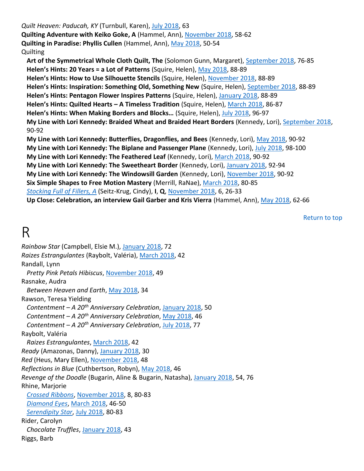*Quilt Heaven: Paducah, KY* (Turnbull, Karen), July 2018, 63 **Quilting Adventure with Keiko Goke, A** (Hammel, Ann), November 2018, 58-62 **Quilting in Paradise: Phyllis Cullen** (Hammel, Ann), May 2018, 50-54 Quilting **Art of the Symmetrical Whole Cloth Quilt, The** (Solomon Gunn, Margaret), September 2018, 76-85 **Helen's Hints: 20 Years = a Lot of Patterns** (Squire, Helen), May 2018, 88-89 **Helen's Hints: How to Use Silhouette Stencils** (Squire, Helen), November 2018, 88-89 Helen's Hints: Inspiration: Something Old, Something New (Squire, Helen), September 2018, 88-89 **Helen's Hints: Pentagon Flower Inspires Patterns** (Squire, Helen), January 2018, 88-89 **Helen's Hints: Quilted Hearts – A Timeless Tradition** (Squire, Helen), March 2018, 86-87 **Helen's Hints: When Making Borders and Blocks…** (Squire, Helen), July 2018, 96-97 **My Line with Lori Kennedy: Braided Wheat and Braided Heart Borders** (Kennedy, Lori), September 2018, 90-92 **My Line with Lori Kennedy: Butterflies, Dragonflies, and Bees** (Kennedy, Lori), May 2018, 90-92 **My Line with Lori Kennedy: The Biplane and Passenger Plane** (Kennedy, Lori), July 2018, 98-100 **My Line with Lori Kennedy: The Feathered Leaf** (Kennedy, Lori), March 2018, 90-92 **My Line with Lori Kennedy: The Sweetheart Border** (Kennedy, Lori), January 2018, 92-94 **My Line with Lori Kennedy: The Windowsill Garden** (Kennedy, Lori), November 2018, 90-92 **Six Simple Shapes to Free Motion Mastery** (Merrill, RaNae), March 2018, 80-85 *Stocking Full of Fillers, A* (Seitz-Krug, Cindy), **I**, **Q**, November 2018, 6, 26-33 **Up Close: Celebration, an interview Gail Garber and Kris Vierra** (Hammel, Ann), May 2018, 62-66

Return to top

## R

*Rainbow Star* (Campbell, Elsie M.), January 2018, 72 *Raizes Estrangulantes* (Raybolt, Valéria), March 2018, 42 Randall, Lynn *Pretty Pink Petals Hibiscus*, November 2018, 49 Rasnake, Audra *Between Heaven and Earth*, May 2018, 34 Rawson, Teresa Yielding *Contentment – A 20th Anniversary Celebration*, January 2018, 50 *Contentment – A 20th Anniversary Celebration*, May 2018, 46 *Contentment – A 20th Anniversary Celebration*, July 2018, 77 Raybolt, Valéria *Raizes Estrangulantes*, March 2018, 42 *Ready* (Amazonas, Danny), January 2018, 30 *Red* (Heus, Mary Ellen), November 2018, 48 *Reflections in Blue* (Cuthbertson, Robyn), May 2018, 46 *Revenge of the Doodle* (Bugarin, Aline & Bugarin, Natasha), January 2018, 54, 76 Rhine, Marjorie *Crossed Ribbons*, November 2018, 8, 80-83 *Diamond Eyes*, March 2018, 46-50 *Serendipity Star*, July 2018, 80-83 Rider, Carolyn *Chocolate Truffles*, January 2018, 43 Riggs, Barb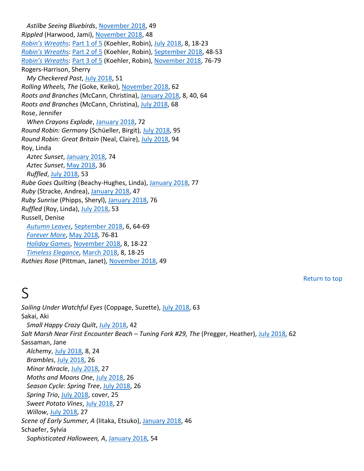*Astilbe Seeing Bluebirds*, November 2018, 49 *Rippled* (Harwood, Jami), November 2018, 48 *Robin's Wreath*s: Part 1 of 5 (Koehler, Robin), July 2018, 8, 18-23 *Robin's Wreath*s: Part 2 of 5 (Koehler, Robin), September 2018, 48-53 *Robin's Wreath*s: Part 3 of 5 (Koehler, Robin), November 2018, 76-79 Rogers-Harrison, Sherry *My Checkered Past*, July 2018, 51 *Rolling Wheels, The* (Goke, Keiko), November 2018, 62 *Roots and Branches* (McCann, Christina), January 2018, 8, 40, 64 *Roots and Branches* (McCann, Christina), July 2018, 68 Rose, Jennifer *When Crayons Explode*, January 2018, 72 *Round Robin: Germany* (Schüeller, Birgit), July 2018, 95 *Round Robin: Great Britain* (Neal, Claire), July 2018, 94 Roy, Linda *Aztec Sunset*, January 2018, 74 *Aztec Sunset*, May 2018, 36 *Ruffled*, July 2018, 53 *Rube Goes Quilting* (Beachy-Hughes, Linda), January 2018, 77 *Ruby* (Stracke, Andrea), January 2018, 47 *Ruby Sunrise* (Phipps, Sheryl), January 2018, 76 *Ruffled* (Roy, Linda), July 2018, 53 Russell, Denise *Autumn Leaves*, September 2018, 6, 64-69 *Forever More*, May 2018, 76-81 *Holiday Games*, November 2018, 8, 18-22 *Timeless Elegance*, March 2018, 8, 18-25 *Ruthies Rose* (Pittman, Janet), November 2018, 49

Return to top

## S

*Sailing Under Watchful Eyes* (Coppage, Suzette), July 2018, 63 Sakai, Aki *Small Happy Crazy Quilt*, July 2018, 42 *Salt Marsh Near First Encounter Beach – Tuning Fork #29, The* (Pregger, Heather), July 2018, 62 Sassaman, Jane *Alchemy*, July 2018, 8, 24 *Brambles*, July 2018, 26 *Minor Miracle*, July 2018, 27 *Moths and Moons One*, July 2018, 26 *Season Cycle: Spring Tree*, July 2018, 26 *Spring Trio*, July 2018, cover, 25 *Sweet Potato Vines*, July 2018, 27 *Willow*, July 2018, 27 *Scene of Early Summer, A* (Iitaka, Etsuko), January 2018, 46 Schaefer, Sylvia *Sophisticated Halloween, A*, January 2018, 54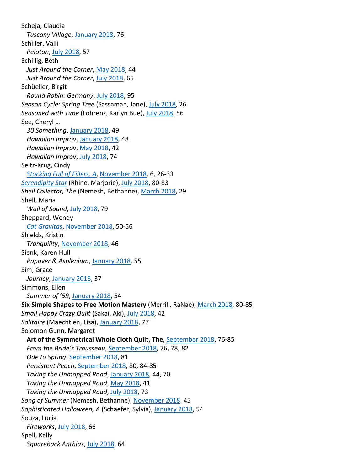Scheja, Claudia *Tuscany Village*, January 2018, 76 Schiller, Valli *Peloton*, July 2018, 57 Schillig, Beth *Just Around the Corner*, May 2018, 44 *Just Around the Corner*, July 2018, 65 Schüeller, Birgit *Round Robin: Germany*, July 2018, 95 *Season Cycle: Spring Tree* (Sassaman, Jane), July 2018, 26 *Seasoned with Time* (Lohrenz, Karlyn Bue), July 2018, 56 See, Cheryl L. *30 Something*, January 2018, 49 *Hawaiian Improv*, January 2018, 48 *Hawaiian Improv*, May 2018, 42 *Hawaiian Improv*, July 2018, 74 Seitz-Krug, Cindy *Stocking Full of Fillers, A*, November 2018, 6, 26-33 *Serendipity Star* (Rhine, Marjorie), July 2018, 80-83 *Shell Collector, The* (Nemesh, Bethanne), March 2018, 29 Shell, Maria *Wall of Sound*, July 2018, 79 Sheppard, Wendy *Cat Gravitas*, November 2018, 50-56 Shields, Kristin *Tranquility*, November 2018, 46 Sienk, Karen Hull *Papaver & Asplenium*, January 2018, 55 Sim, Grace *Journey*, January 2018, 37 Simmons, Ellen *Summer of '59*, January 2018, 54 **Six Simple Shapes to Free Motion Mastery** (Merrill, RaNae), March 2018, 80-85 *Small Happy Crazy Quilt* (Sakai, Aki), July 2018, 42 *Solitaire* (Maechtlen, Lisa), January 2018, 77 Solomon Gunn, Margaret **Art of the Symmetrical Whole Cloth Quilt, The**, September 2018, 76-85 *From the Bride's Trousseau*, September 2018, 76, 78, 82 *Ode to Spring*, September 2018, 81 *Persistent Peach*, September 2018, 80, 84-85 *Taking the Unmapped Road*, January 2018, 44, 70 *Taking the Unmapped Road*, May 2018, 41 *Taking the Unmapped Road*, July 2018, 73 *Song of Summer* (Nemesh, Bethanne), November 2018, 45 *Sophisticated Halloween, A* (Schaefer, Sylvia), January 2018, 54 Souza, Lucia *Fireworks*, July 2018, 66 Spell, Kelly *Squareback Anthias*, July 2018, 64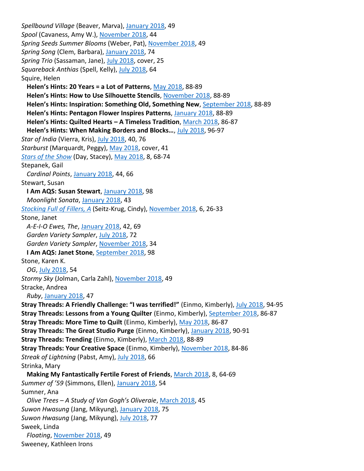*Spellbound Village* (Beaver, Marva), January 2018, 49 *Spool* (Cavaness, Amy W.), November 2018, 44 *Spring Seeds Summer Blooms* (Weber, Pat), November 2018, 49 *Spring Song* (Clem, Barbara), January 2018, 74 *Spring Trio* (Sassaman, Jane), July 2018, cover, 25 *Squareback Anthias* (Spell, Kelly), July 2018, 64 Squire, Helen **Helen's Hints: 20 Years = a Lot of Patterns**, May 2018, 88-89 **Helen's Hints: How to Use Silhouette Stencils**, November 2018, 88-89 **Helen's Hints: Inspiration: Something Old, Something New**, September 2018, 88-89 **Helen's Hints: Pentagon Flower Inspires Patterns**, January 2018, 88-89 **Helen's Hints: Quilted Hearts – A Timeless Tradition**, March 2018, 86-87 **Helen's Hints: When Making Borders and Blocks…**, July 2018, 96-97 *Star of India* (Vierra, Kris), July 2018, 40, 76 *Starburst* (Marquardt, Peggy), May 2018, cover, 41 *Stars of the Show* (Day, Stacey), May 2018, 8, 68-74 Stepanek, Gail *Cardinal Points*, January 2018, 44, 66 Stewart, Susan **I Am AQS: Susan Stewart**, January 2018, 98 *Moonlight Sonata*, January 2018, 43 *Stocking Full of Fillers, A* (Seitz-Krug, Cindy), November 2018, 6, 26-33 Stone, Janet *A-E-I-O Ewes, The*, January 2018, 42, 69 *Garden Variety Sampler*, July 2018, 72 *Garden Variety Sampler*, November 2018, 34 **I Am AQS: Janet Stone**, September 2018, 98 Stone, Karen K. *OG*, July 2018, 54 *Stormy Sky* (Jolman, Carla Zahl), November 2018, 49 Stracke, Andrea *Ruby*, January 2018, 47 **Stray Threads: A Friendly Challenge: "I was terrified!"** (Einmo, Kimberly), July 2018, 94-95 **Stray Threads: Lessons from a Young Quilter** (Einmo, Kimberly), September 2018, 86-87 **Stray Threads: More Time to Quilt** (Einmo, Kimberly), May 2018, 86-87 **Stray Threads: The Great Studio Purge** (Einmo, Kimberly), January 2018, 90-91 **Stray Threads: Trending** (Einmo, Kimberly), March 2018, 88-89 **Stray Threads: Your Creative Space** (Einmo, Kimberly), November 2018, 84-86 *Streak of Lightning* (Pabst, Amy), July 2018, 66 Strinka, Mary **Making My Fantastically Fertile Forest of Friends**, March 2018, 8, 64-69 *Summer of '59* (Simmons, Ellen), January 2018, 54 Sumner, Ana *Olive Trees – A Study of Van Gogh's Oliveraie*, March 2018, 45 *Suwon Hwasung* (Jang, Mikyung), January 2018, 75 Suwon Hwasung (Jang, Mikyung), July 2018, 77 Sweek, Linda *Floating*, November 2018, 49 Sweeney, Kathleen Irons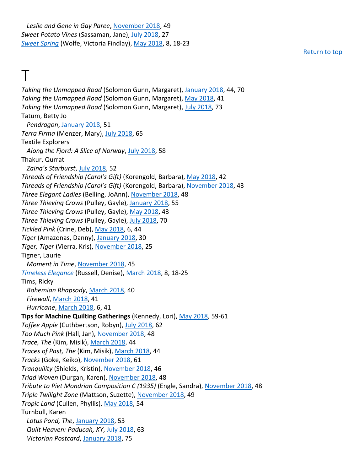*Leslie and Gene in Gay Paree*, November 2018, 49 *Sweet Potato Vines* (Sassaman, Jane), July 2018, 27 *Sweet Spring* (Wolfe, Victoria Findlay), May 2018, 8, 18-23

Return to top

#### $\top$

*Taking the Unmapped Road* (Solomon Gunn, Margaret), January 2018, 44, 70 *Taking the Unmapped Road* (Solomon Gunn, Margaret), May 2018, 41 *Taking the Unmapped Road* (Solomon Gunn, Margaret), July 2018, 73 Tatum, Betty Jo *Pendragon*, January 2018, 51 *Terra Firma* (Menzer, Mary), July 2018, 65 Textile Explorers *Along the Fjord: A Slice of Norway*, July 2018, 58 Thakur, Qurrat *Zaina's Starburst*, July 2018, 52 *Threads of Friendship (Carol's Gift)* (Korengold, Barbara), May 2018, 42 *Threads of Friendship (Carol's Gift)* (Korengold, Barbara), November 2018, 43 *Three Elegant Ladies* (Belling, JoAnn), November 2018, 48 *Three Thieving Crows* (Pulley, Gayle), January 2018, 55 *Three Thieving Crows* (Pulley, Gayle), May 2018, 43 *Three Thieving Crows* (Pulley, Gayle), July 2018, 70 *Tickled Pink* (Crine, Deb), May 2018, 6, 44 *Tiger* (Amazonas, Danny), January 2018, 30 *Tiger, Tiger* (Vierra, Kris), November 2018, 25 Tigner, Laurie *Moment in Time*, November 2018, 45 *Timeless Elegance* (Russell, Denise), March 2018, 8, 18-25 Tims, Ricky *Bohemian Rhapsody*, March 2018, 40 *Firewall*, March 2018, 41 *Hurricane*, March 2018, 6, 41 **Tips for Machine Quilting Gatherings** (Kennedy, Lori), May 2018, 59-61 *Toffee Apple* (Cuthbertson, Robyn), July 2018, 62 *Too Much Pink* (Hall, Jan), November 2018, 48 *Trace, The* (Kim, Misik), March 2018, 44 *Traces of Past, The* (Kim, Misik), March 2018, 44 *Tracks* (Goke, Keiko), November 2018, 61 *Tranquility* (Shields, Kristin), November 2018, 46 *Triad Woven* (Durgan, Karen), November 2018, 48 *Tribute to Piet Mondrian Composition C (1935)* (Engle, Sandra), November 2018, 48 *Triple Twilight Zone* (Mattson, Suzette), November 2018, 49 *Tropic Land* (Cullen, Phyllis), May 2018, 54 Turnbull, Karen *Lotus Pond, The*, January 2018, 53 *Quilt Heaven: Paducah, KY*, July 2018, 63 *Victorian Postcard*, January 2018, 75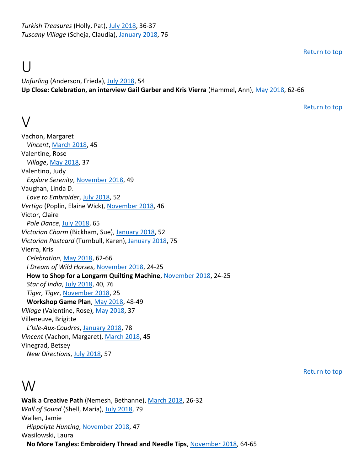*Turkish Treasures* (Holly, Pat), July 2018, 36-37 *Tuscany Village* (Scheja, Claudia), January 2018, 76

Return to top

## $\perp$

*Unfurling* (Anderson, Frieda), July 2018, 54 **Up Close: Celebration, an interview Gail Garber and Kris Vierra** (Hammel, Ann), May 2018, 62-66

Return to top

#### $\setminus$

Vachon, Margaret *Vincent*, March 2018, 45 Valentine, Rose *Village*, May 2018, 37 Valentino, Judy *Explore Serenity*, November 2018, 49 Vaughan, Linda D. *Love to Embroider*, July 2018, 52 *Vertigo* (Poplin, Elaine Wick), November 2018, 46 Victor, Claire *Pole Dance*, July 2018, 65 *Victorian Charm* (Bickham, Sue), January 2018, 52 *Victorian Postcard* (Turnbull, Karen), January 2018, 75 Vierra, Kris *Celebration*, May 2018, 62-66 *I Dream of Wild Horses*, November 2018, 24-25 **How to Shop for a Longarm Quilting Machine**, November 2018, 24-25 *Star of India*, July 2018, 40, 76 *Tiger, Tiger*, November 2018, 25 **Workshop Game Plan**, May 2018, 48-49 *Village* (Valentine, Rose), May 2018, 37 Villeneuve, Brigitte *L'Isle-Aux-Coudres*, January 2018, 78 *Vincent* (Vachon, Margaret), March 2018, 45 Vinegrad, Betsey *New Directions*, July 2018, 57

#### W

**Walk a Creative Path** (Nemesh, Bethanne), March 2018, 26-32 *Wall of Sound* (Shell, Maria), July 2018, 79 Wallen, Jamie *Hippolyte Hunting*, November 2018, 47 Wasilowski, Laura **No More Tangles: Embroidery Thread and Needle Tips**, November 2018, 64-65